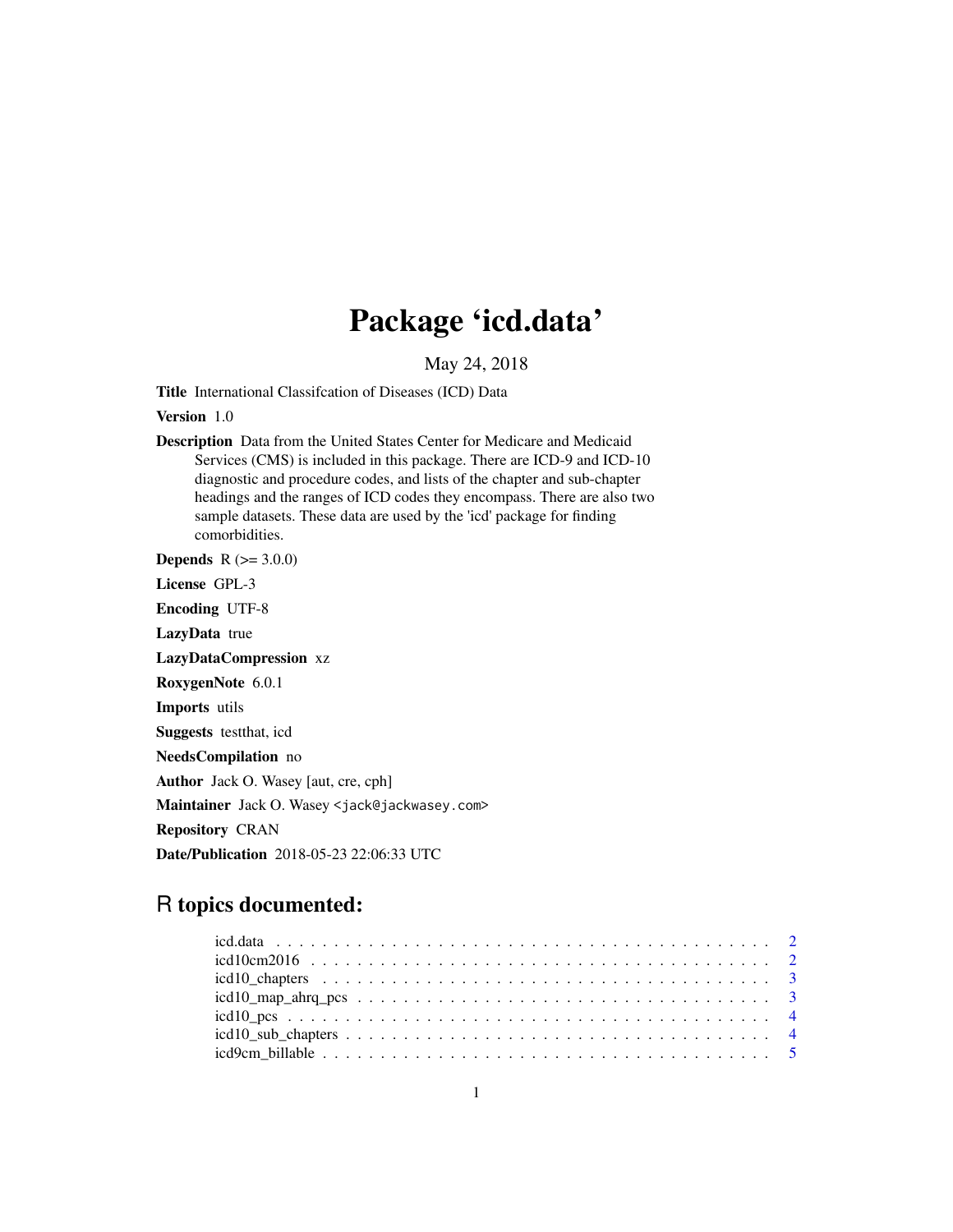# Package 'icd.data'

May 24, 2018

Title International Classifcation of Diseases (ICD) Data

Version 1.0

Description Data from the United States Center for Medicare and Medicaid Services (CMS) is included in this package. There are ICD-9 and ICD-10 diagnostic and procedure codes, and lists of the chapter and sub-chapter headings and the ranges of ICD codes they encompass. There are also two sample datasets. These data are used by the 'icd' package for finding comorbidities.

**Depends** R  $(>= 3.0.0)$ License GPL-3 Encoding UTF-8 LazyData true LazyDataCompression xz RoxygenNote 6.0.1 Imports utils Suggests testthat, icd NeedsCompilation no Author Jack O. Wasey [aut, cre, cph] Maintainer Jack O. Wasey <jack@jackwasey.com> Repository CRAN Date/Publication 2018-05-23 22:06:33 UTC

# R topics documented: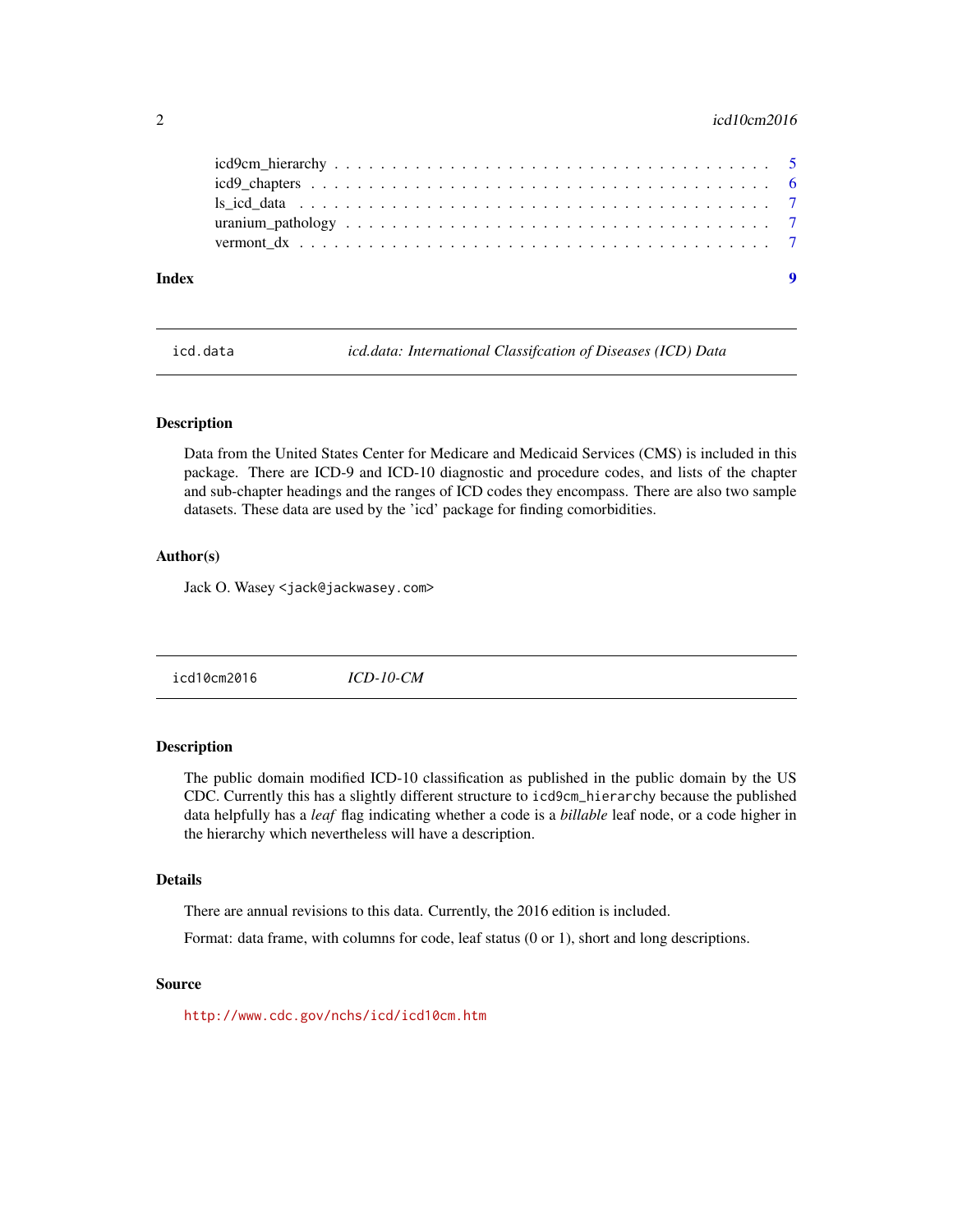# <span id="page-1-0"></span> $2<sup>2</sup>$  icd10cm2016

icd.data *icd.data: International Classifcation of Diseases (ICD) Data*

# Description

Data from the United States Center for Medicare and Medicaid Services (CMS) is included in this package. There are ICD-9 and ICD-10 diagnostic and procedure codes, and lists of the chapter and sub-chapter headings and the ranges of ICD codes they encompass. There are also two sample datasets. These data are used by the 'icd' package for finding comorbidities.

# Author(s)

Jack O. Wasey <jack@jackwasey.com>

icd10cm2016 *ICD-10-CM*

# Description

The public domain modified ICD-10 classification as published in the public domain by the US CDC. Currently this has a slightly different structure to icd9cm\_hierarchy because the published data helpfully has a *leaf* flag indicating whether a code is a *billable* leaf node, or a code higher in the hierarchy which nevertheless will have a description.

# Details

There are annual revisions to this data. Currently, the 2016 edition is included.

Format: data frame, with columns for code, leaf status (0 or 1), short and long descriptions.

## Source

<http://www.cdc.gov/nchs/icd/icd10cm.htm>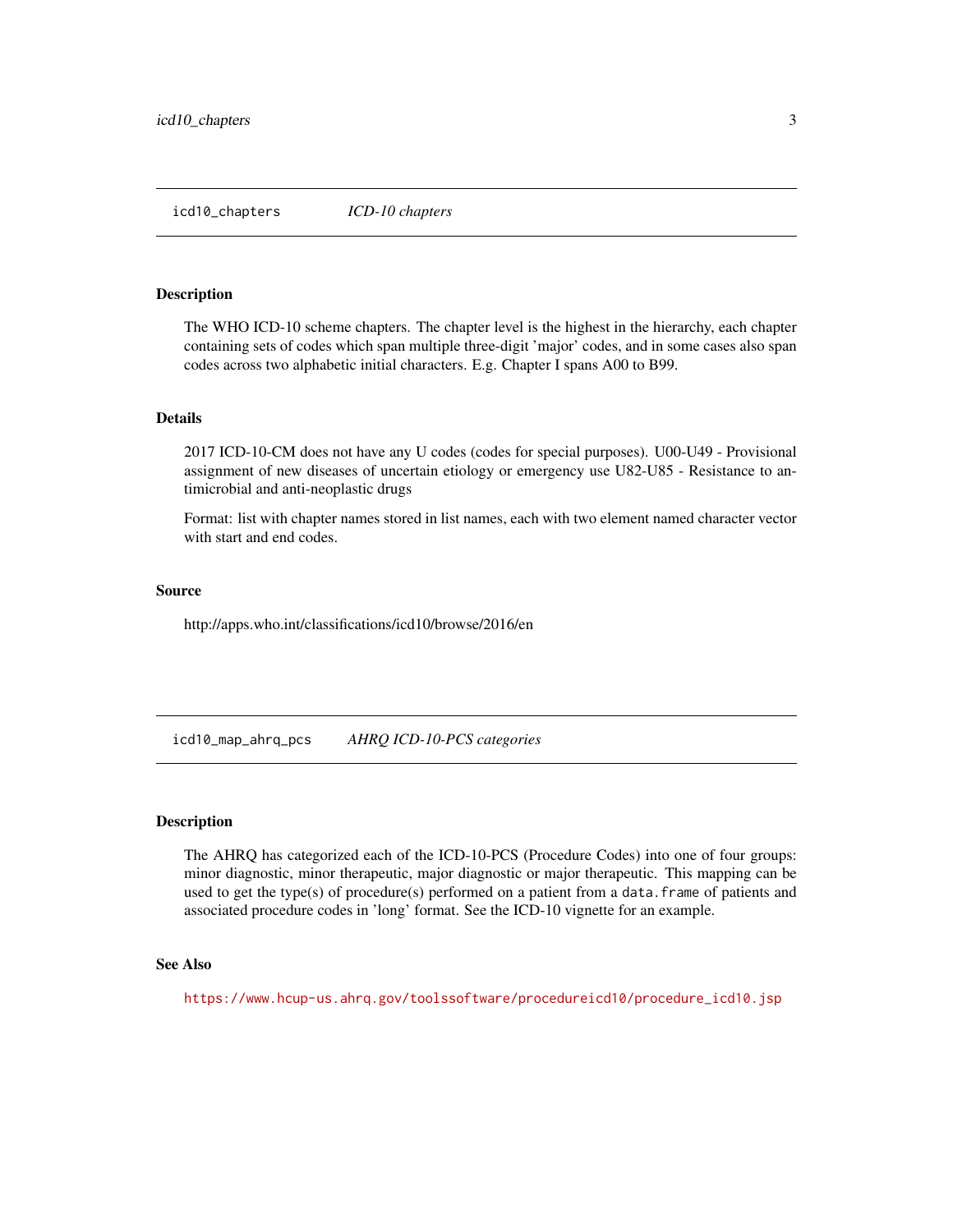<span id="page-2-0"></span>icd10\_chapters *ICD-10 chapters*

#### Description

The WHO ICD-10 scheme chapters. The chapter level is the highest in the hierarchy, each chapter containing sets of codes which span multiple three-digit 'major' codes, and in some cases also span codes across two alphabetic initial characters. E.g. Chapter I spans A00 to B99.

# Details

2017 ICD-10-CM does not have any U codes (codes for special purposes). U00-U49 - Provisional assignment of new diseases of uncertain etiology or emergency use U82-U85 - Resistance to antimicrobial and anti-neoplastic drugs

Format: list with chapter names stored in list names, each with two element named character vector with start and end codes.

#### Source

http://apps.who.int/classifications/icd10/browse/2016/en

icd10\_map\_ahrq\_pcs *AHRQ ICD-10-PCS categories*

#### Description

The AHRQ has categorized each of the ICD-10-PCS (Procedure Codes) into one of four groups: minor diagnostic, minor therapeutic, major diagnostic or major therapeutic. This mapping can be used to get the type(s) of procedure(s) performed on a patient from a data.frame of patients and associated procedure codes in 'long' format. See the ICD-10 vignette for an example.

#### See Also

[https://www.hcup-us.ahrq.gov/toolssoftware/procedureicd10/procedure\\_icd10.jsp](https://www.hcup-us.ahrq.gov/toolssoftware/procedureicd10/procedure_icd10.jsp)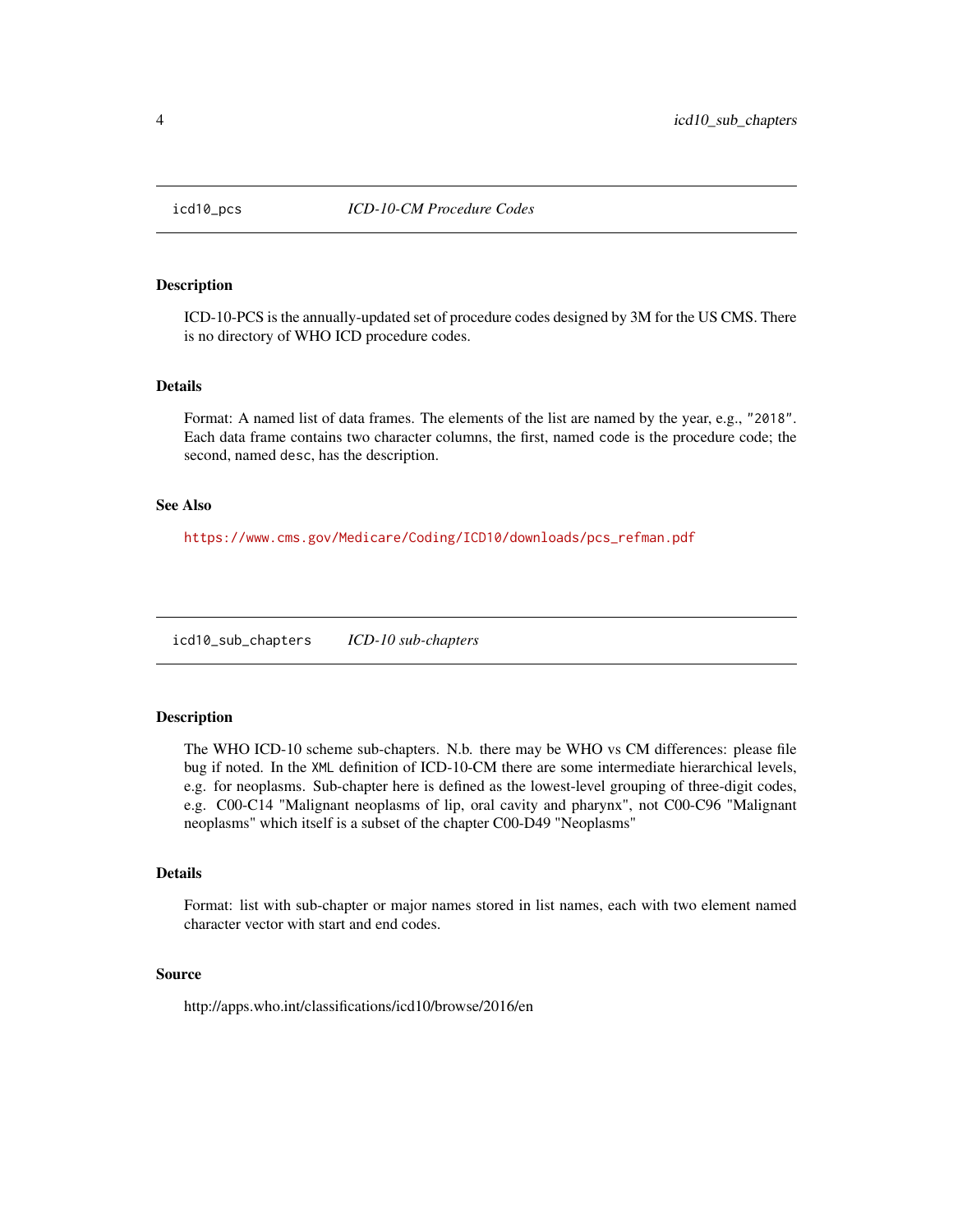<span id="page-3-0"></span>

#### Description

ICD-10-PCS is the annually-updated set of procedure codes designed by 3M for the US CMS. There is no directory of WHO ICD procedure codes.

# Details

Format: A named list of data frames. The elements of the list are named by the year, e.g., "2018". Each data frame contains two character columns, the first, named code is the procedure code; the second, named desc, has the description.

# See Also

[https://www.cms.gov/Medicare/Coding/ICD10/downloads/pcs\\_refman.pdf](https://www.cms.gov/Medicare/Coding/ICD10/downloads/pcs_refman.pdf)

icd10\_sub\_chapters *ICD-10 sub-chapters*

# **Description**

The WHO ICD-10 scheme sub-chapters. N.b. there may be WHO vs CM differences: please file bug if noted. In the XML definition of ICD-10-CM there are some intermediate hierarchical levels, e.g. for neoplasms. Sub-chapter here is defined as the lowest-level grouping of three-digit codes, e.g. C00-C14 "Malignant neoplasms of lip, oral cavity and pharynx", not C00-C96 "Malignant neoplasms" which itself is a subset of the chapter C00-D49 "Neoplasms"

#### Details

Format: list with sub-chapter or major names stored in list names, each with two element named character vector with start and end codes.

# Source

http://apps.who.int/classifications/icd10/browse/2016/en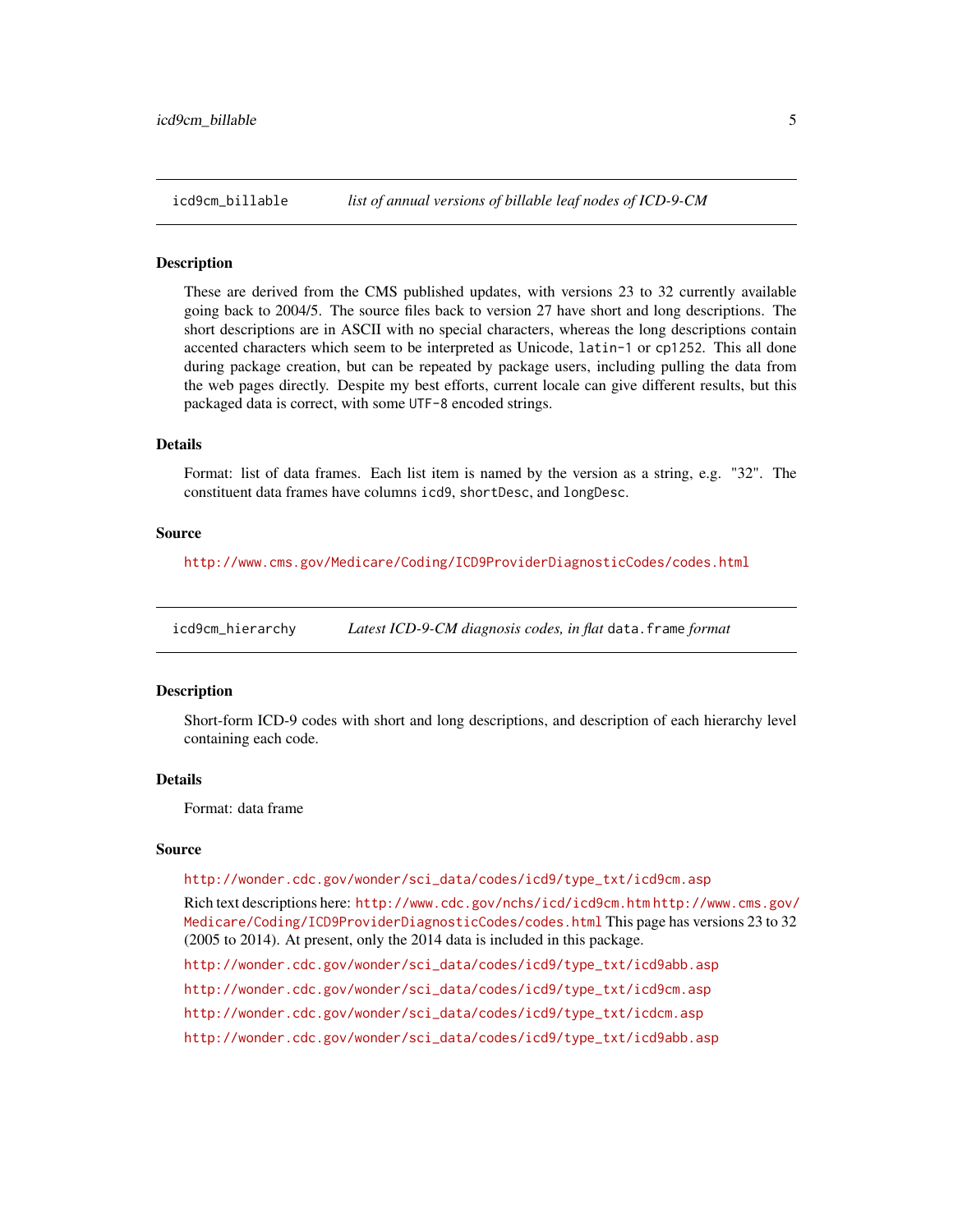<span id="page-4-0"></span>

## **Description**

These are derived from the CMS published updates, with versions 23 to 32 currently available going back to 2004/5. The source files back to version 27 have short and long descriptions. The short descriptions are in ASCII with no special characters, whereas the long descriptions contain accented characters which seem to be interpreted as Unicode, latin-1 or cp1252. This all done during package creation, but can be repeated by package users, including pulling the data from the web pages directly. Despite my best efforts, current locale can give different results, but this packaged data is correct, with some UTF-8 encoded strings.

# Details

Format: list of data frames. Each list item is named by the version as a string, e.g. "32". The constituent data frames have columns icd9, shortDesc, and longDesc.

#### Source

<http://www.cms.gov/Medicare/Coding/ICD9ProviderDiagnosticCodes/codes.html>

icd9cm\_hierarchy *Latest ICD-9-CM diagnosis codes, in flat* data.frame *format*

# Description

Short-form ICD-9 codes with short and long descriptions, and description of each hierarchy level containing each code.

#### Details

Format: data frame

#### Source

[http://wonder.cdc.gov/wonder/sci\\_data/codes/icd9/type\\_txt/icd9cm.asp](http://wonder.cdc.gov/wonder/sci_data/codes/icd9/type_txt/icd9cm.asp) Rich text descriptions here: <http://www.cdc.gov/nchs/icd/icd9cm.htm> [http://www.cms.gov/](http://www.cms.gov/Medicare/Coding/ICD9ProviderDiagnosticCodes/codes.html)

[Medicare/Coding/ICD9ProviderDiagnosticCodes/codes.html](http://www.cms.gov/Medicare/Coding/ICD9ProviderDiagnosticCodes/codes.html) This page has versions 23 to 32 (2005 to 2014). At present, only the 2014 data is included in this package.

[http://wonder.cdc.gov/wonder/sci\\_data/codes/icd9/type\\_txt/icd9abb.asp](http://wonder.cdc.gov/wonder/sci_data/codes/icd9/type_txt/icd9abb.asp)

[http://wonder.cdc.gov/wonder/sci\\_data/codes/icd9/type\\_txt/icd9cm.asp](http://wonder.cdc.gov/wonder/sci_data/codes/icd9/type_txt/icd9cm.asp)

[http://wonder.cdc.gov/wonder/sci\\_data/codes/icd9/type\\_txt/icdcm.asp](http://wonder.cdc.gov/wonder/sci_data/codes/icd9/type_txt/icdcm.asp)

[http://wonder.cdc.gov/wonder/sci\\_data/codes/icd9/type\\_txt/icd9abb.asp](http://wonder.cdc.gov/wonder/sci_data/codes/icd9/type_txt/icd9abb.asp)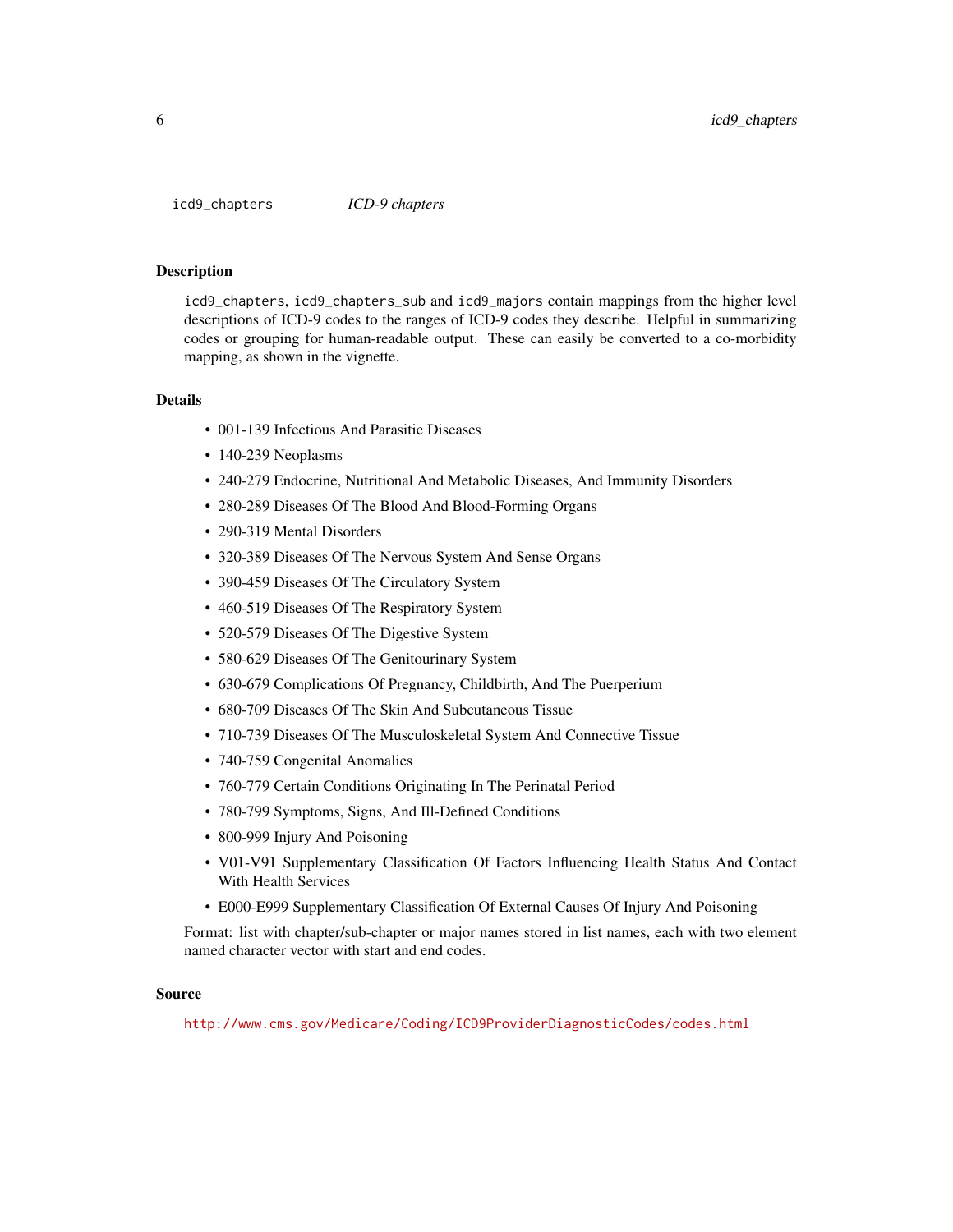<span id="page-5-0"></span>icd9\_chapters *ICD-9 chapters*

# Description

icd9\_chapters, icd9\_chapters\_sub and icd9\_majors contain mappings from the higher level descriptions of ICD-9 codes to the ranges of ICD-9 codes they describe. Helpful in summarizing codes or grouping for human-readable output. These can easily be converted to a co-morbidity mapping, as shown in the vignette.

### Details

- 001-139 Infectious And Parasitic Diseases
- 140-239 Neoplasms
- 240-279 Endocrine, Nutritional And Metabolic Diseases, And Immunity Disorders
- 280-289 Diseases Of The Blood And Blood-Forming Organs
- 290-319 Mental Disorders
- 320-389 Diseases Of The Nervous System And Sense Organs
- 390-459 Diseases Of The Circulatory System
- 460-519 Diseases Of The Respiratory System
- 520-579 Diseases Of The Digestive System
- 580-629 Diseases Of The Genitourinary System
- 630-679 Complications Of Pregnancy, Childbirth, And The Puerperium
- 680-709 Diseases Of The Skin And Subcutaneous Tissue
- 710-739 Diseases Of The Musculoskeletal System And Connective Tissue
- 740-759 Congenital Anomalies
- 760-779 Certain Conditions Originating In The Perinatal Period
- 780-799 Symptoms, Signs, And Ill-Defined Conditions
- 800-999 Injury And Poisoning
- V01-V91 Supplementary Classification Of Factors Influencing Health Status And Contact With Health Services
- E000-E999 Supplementary Classification Of External Causes Of Injury And Poisoning

Format: list with chapter/sub-chapter or major names stored in list names, each with two element named character vector with start and end codes.

#### Source

<http://www.cms.gov/Medicare/Coding/ICD9ProviderDiagnosticCodes/codes.html>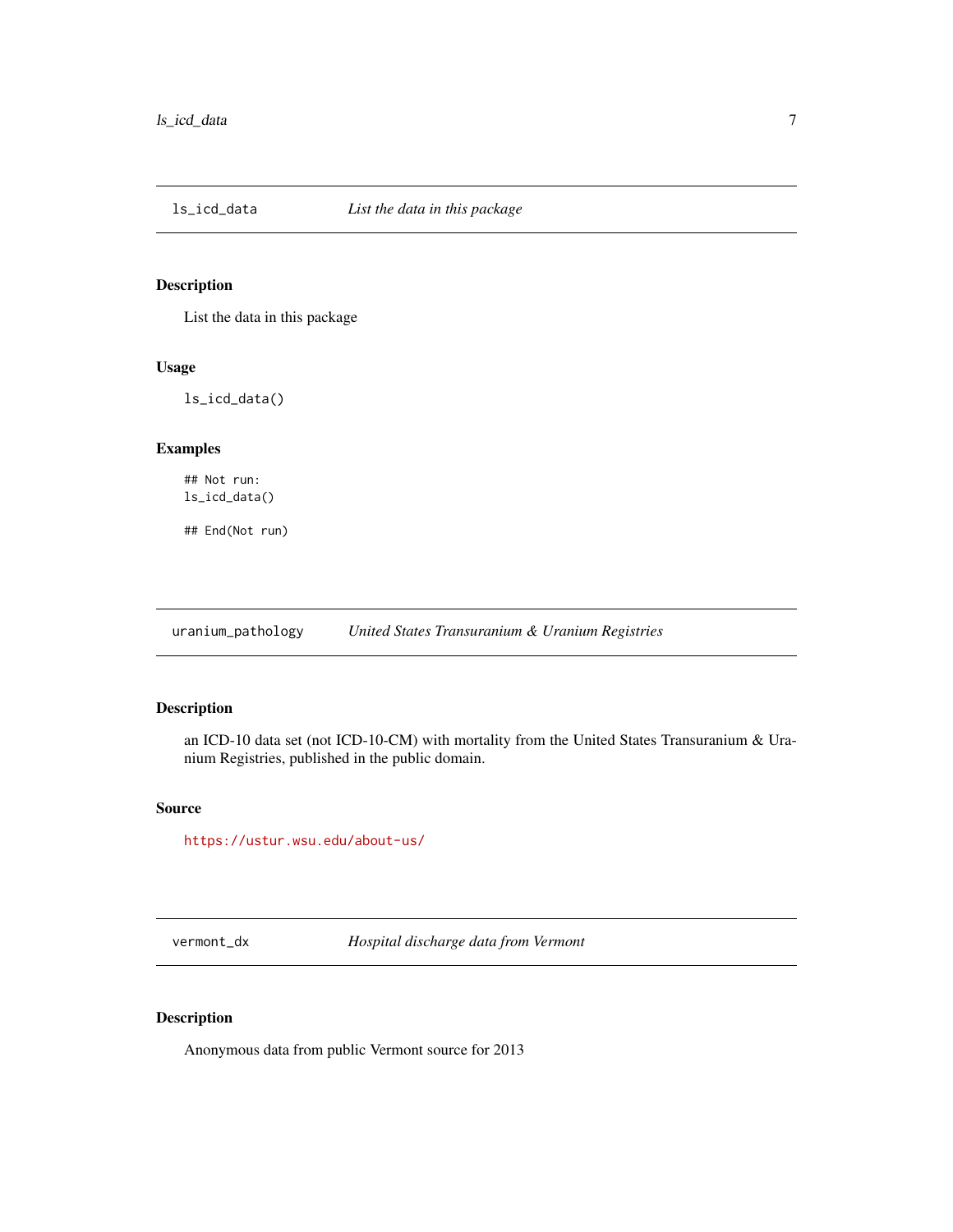<span id="page-6-0"></span>

# Description

List the data in this package

# Usage

ls\_icd\_data()

# Examples

## Not run: ls\_icd\_data()

## End(Not run)

uranium\_pathology *United States Transuranium & Uranium Registries*

# Description

an ICD-10 data set (not ICD-10-CM) with mortality from the United States Transuranium & Uranium Registries, published in the public domain.

## Source

<https://ustur.wsu.edu/about-us/>

vermont\_dx *Hospital discharge data from Vermont*

# Description

Anonymous data from public Vermont source for 2013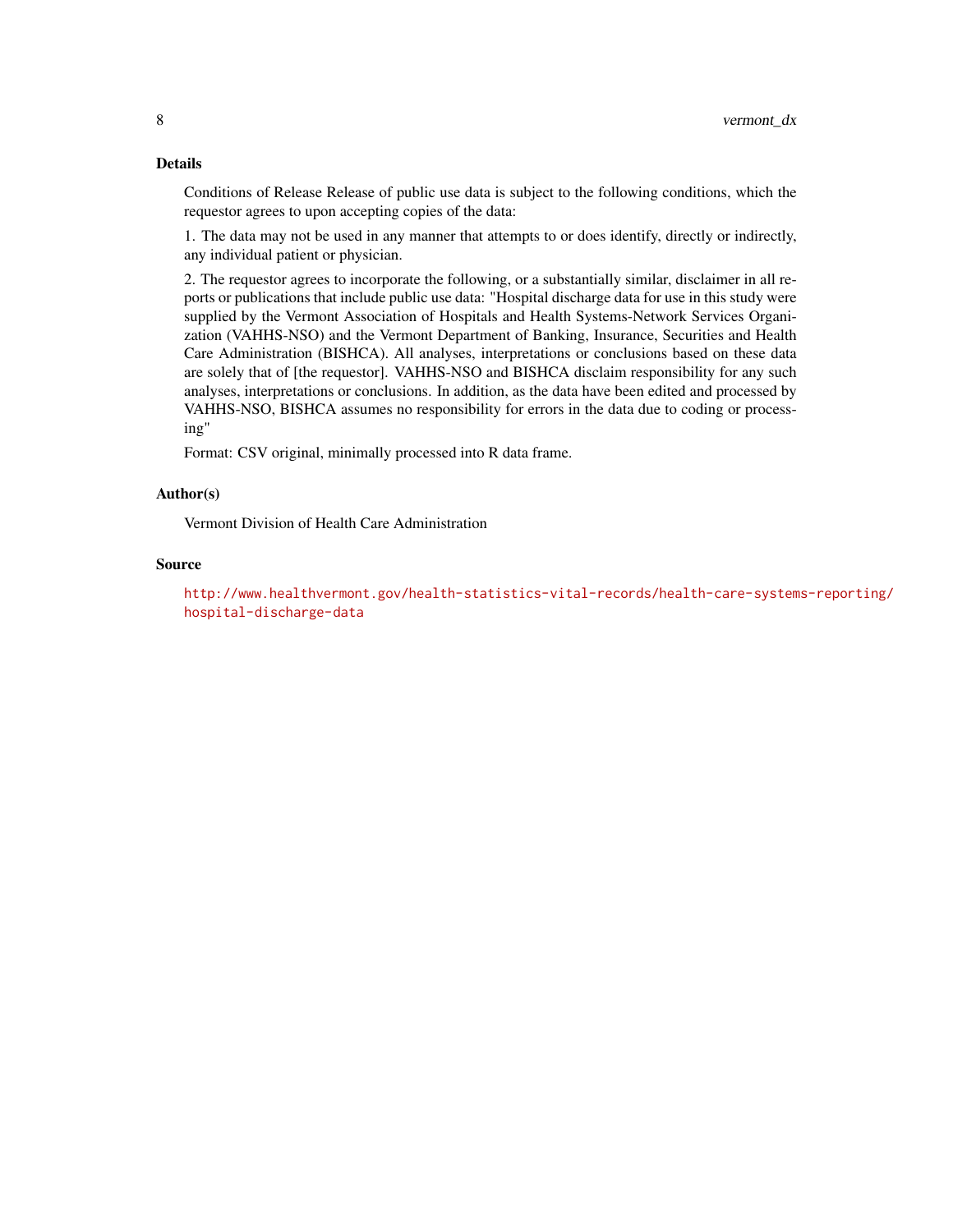# Details

Conditions of Release Release of public use data is subject to the following conditions, which the requestor agrees to upon accepting copies of the data:

1. The data may not be used in any manner that attempts to or does identify, directly or indirectly, any individual patient or physician.

2. The requestor agrees to incorporate the following, or a substantially similar, disclaimer in all reports or publications that include public use data: "Hospital discharge data for use in this study were supplied by the Vermont Association of Hospitals and Health Systems-Network Services Organization (VAHHS-NSO) and the Vermont Department of Banking, Insurance, Securities and Health Care Administration (BISHCA). All analyses, interpretations or conclusions based on these data are solely that of [the requestor]. VAHHS-NSO and BISHCA disclaim responsibility for any such analyses, interpretations or conclusions. In addition, as the data have been edited and processed by VAHHS-NSO, BISHCA assumes no responsibility for errors in the data due to coding or processing"

Format: CSV original, minimally processed into R data frame.

# Author(s)

Vermont Division of Health Care Administration

# Source

[http://www.healthvermont.gov/health-statistics-vital-records/health-care-system](http://www.healthvermont.gov/health-statistics-vital-records/health-care-systems-reporting/hospital-discharge-data)s-reporting/ [hospital-discharge-data](http://www.healthvermont.gov/health-statistics-vital-records/health-care-systems-reporting/hospital-discharge-data)